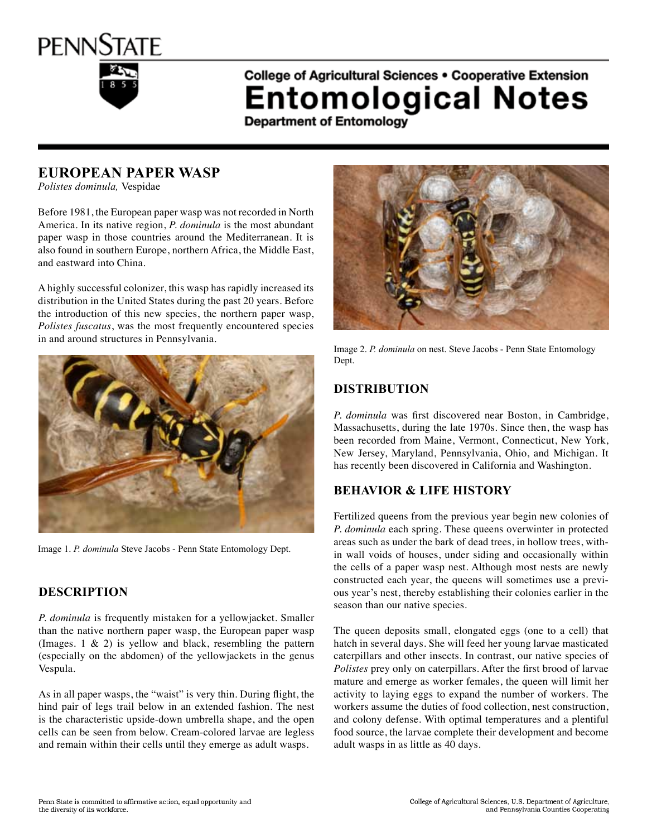

# College of Agricultural Sciences . Cooperative Extension **Entomological Notes**

**Department of Entomology** 

## **European Paper Wasp**

*Polistes dominula,* Vespidae

Before 1981, the European paper wasp was not recorded in North America. In its native region, *P. dominula* is the most abundant paper wasp in those countries around the Mediterranean. It is also found in southern Europe, northern Africa, the Middle East, and eastward into China.

A highly successful colonizer, this wasp has rapidly increased its distribution in the United States during the past 20 years. Before the introduction of this new species, the northern paper wasp, *Polistes fuscatus*, was the most frequently encountered species in and around structures in Pennsylvania.



Image 1. *P. dominula* Steve Jacobs - Penn State Entomology Dept.

#### **Description**

*P. dominula* is frequently mistaken for a yellowjacket. Smaller than the native northern paper wasp, the European paper wasp (Images.  $1 \& 2$ ) is yellow and black, resembling the pattern (especially on the abdomen) of the yellowjackets in the genus Vespula.

As in all paper wasps, the "waist" is very thin. During flight, the hind pair of legs trail below in an extended fashion. The nest is the characteristic upside-down umbrella shape, and the open cells can be seen from below. Cream-colored larvae are legless and remain within their cells until they emerge as adult wasps.



Image 2. *P. dominula* on nest. Steve Jacobs - Penn State Entomology Dept.

## **Distribution**

*P. dominula* was first discovered near Boston, in Cambridge, Massachusetts, during the late 1970s. Since then, the wasp has been recorded from Maine, Vermont, Connecticut, New York, New Jersey, Maryland, Pennsylvania, Ohio, and Michigan. It has recently been discovered in California and Washington.

## **Behavior & Life History**

Fertilized queens from the previous year begin new colonies of *P. dominula* each spring. These queens overwinter in protected areas such as under the bark of dead trees, in hollow trees, within wall voids of houses, under siding and occasionally within the cells of a paper wasp nest. Although most nests are newly constructed each year, the queens will sometimes use a previous year's nest, thereby establishing their colonies earlier in the season than our native species.

The queen deposits small, elongated eggs (one to a cell) that hatch in several days. She will feed her young larvae masticated caterpillars and other insects. In contrast, our native species of *Polistes* prey only on caterpillars. After the first brood of larvae mature and emerge as worker females, the queen will limit her activity to laying eggs to expand the number of workers. The workers assume the duties of food collection, nest construction, and colony defense. With optimal temperatures and a plentiful food source, the larvae complete their development and become adult wasps in as little as 40 days.